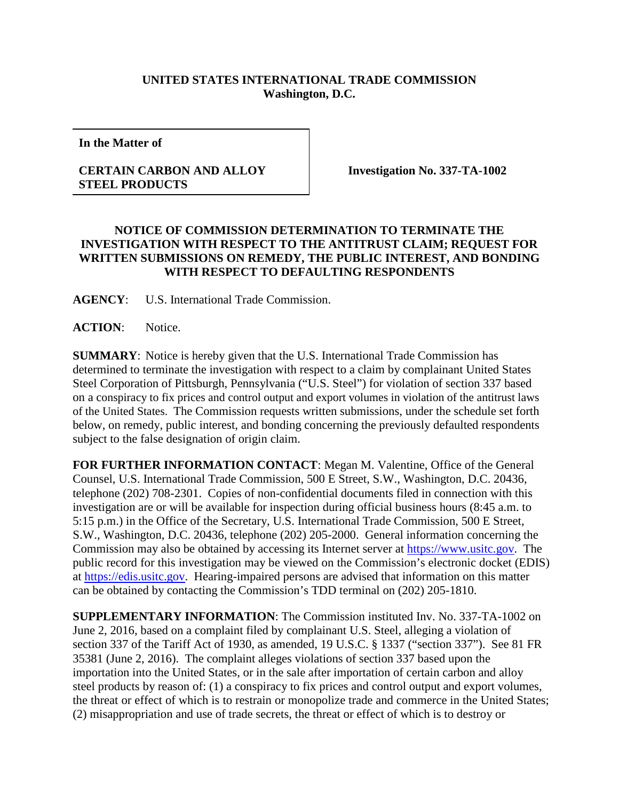## **UNITED STATES INTERNATIONAL TRADE COMMISSION Washington, D.C.**

**In the Matter of**

## **CERTAIN CARBON AND ALLOY STEEL PRODUCTS**

**Investigation No. 337-TA-1002**

## **NOTICE OF COMMISSION DETERMINATION TO TERMINATE THE INVESTIGATION WITH RESPECT TO THE ANTITRUST CLAIM; REQUEST FOR WRITTEN SUBMISSIONS ON REMEDY, THE PUBLIC INTEREST, AND BONDING WITH RESPECT TO DEFAULTING RESPONDENTS**

**AGENCY**: U.S. International Trade Commission.

**ACTION**: Notice.

**SUMMARY**: Notice is hereby given that the U.S. International Trade Commission has determined to terminate the investigation with respect to a claim by complainant United States Steel Corporation of Pittsburgh, Pennsylvania ("U.S. Steel") for violation of section 337 based on a conspiracy to fix prices and control output and export volumes in violation of the antitrust laws of the United States. The Commission requests written submissions, under the schedule set forth below, on remedy, public interest, and bonding concerning the previously defaulted respondents subject to the false designation of origin claim.

**FOR FURTHER INFORMATION CONTACT**: Megan M. Valentine, Office of the General Counsel, U.S. International Trade Commission, 500 E Street, S.W., Washington, D.C. 20436, telephone (202) 708-2301. Copies of non-confidential documents filed in connection with this investigation are or will be available for inspection during official business hours (8:45 a.m. to 5:15 p.m.) in the Office of the Secretary, U.S. International Trade Commission, 500 E Street, S.W., Washington, D.C. 20436, telephone (202) 205-2000. General information concerning the Commission may also be obtained by accessing its Internet server at [https://www.usitc.gov.](https://www.usitc.gov/) The public record for this investigation may be viewed on the Commission's electronic docket (EDIS) at [https://edis.usitc.gov.](https://edis.usitc.gov/) Hearing-impaired persons are advised that information on this matter can be obtained by contacting the Commission's TDD terminal on (202) 205-1810.

**SUPPLEMENTARY INFORMATION**: The Commission instituted Inv. No. 337-TA-1002 on June 2, 2016, based on a complaint filed by complainant U.S. Steel, alleging a violation of section 337 of the Tariff Act of 1930, as amended, 19 U.S.C. § 1337 ("section 337"). See 81 FR 35381 (June 2, 2016). The complaint alleges violations of section 337 based upon the importation into the United States, or in the sale after importation of certain carbon and alloy steel products by reason of: (1) a conspiracy to fix prices and control output and export volumes, the threat or effect of which is to restrain or monopolize trade and commerce in the United States; (2) misappropriation and use of trade secrets, the threat or effect of which is to destroy or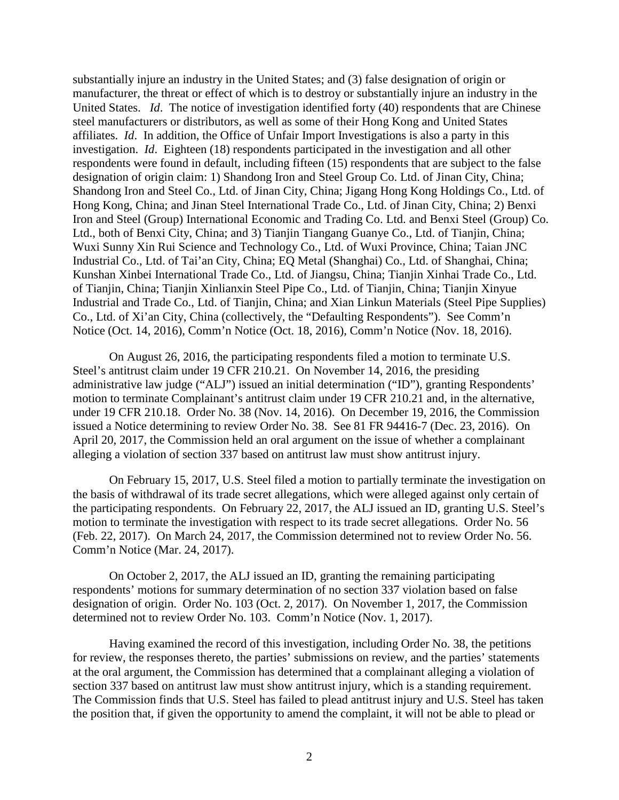substantially injure an industry in the United States; and (3) false designation of origin or manufacturer, the threat or effect of which is to destroy or substantially injure an industry in the United States. *Id*. The notice of investigation identified forty (40) respondents that are Chinese steel manufacturers or distributors, as well as some of their Hong Kong and United States affiliates. *Id*. In addition, the Office of Unfair Import Investigations is also a party in this investigation. *Id*. Eighteen (18) respondents participated in the investigation and all other respondents were found in default, including fifteen (15) respondents that are subject to the false designation of origin claim: 1) Shandong Iron and Steel Group Co. Ltd. of Jinan City, China; Shandong Iron and Steel Co., Ltd. of Jinan City, China; Jigang Hong Kong Holdings Co., Ltd. of Hong Kong, China; and Jinan Steel International Trade Co., Ltd. of Jinan City, China; 2) Benxi Iron and Steel (Group) International Economic and Trading Co. Ltd. and Benxi Steel (Group) Co. Ltd., both of Benxi City, China; and 3) Tianjin Tiangang Guanye Co., Ltd. of Tianjin, China; Wuxi Sunny Xin Rui Science and Technology Co., Ltd. of Wuxi Province, China; Taian JNC Industrial Co., Ltd. of Tai'an City, China; EQ Metal (Shanghai) Co., Ltd. of Shanghai, China; Kunshan Xinbei International Trade Co., Ltd. of Jiangsu, China; Tianjin Xinhai Trade Co., Ltd. of Tianjin, China; Tianjin Xinlianxin Steel Pipe Co., Ltd. of Tianjin, China; Tianjin Xinyue Industrial and Trade Co., Ltd. of Tianjin, China; and Xian Linkun Materials (Steel Pipe Supplies) Co., Ltd. of Xi'an City, China (collectively, the "Defaulting Respondents"). See Comm'n Notice (Oct. 14, 2016), Comm'n Notice (Oct. 18, 2016), Comm'n Notice (Nov. 18, 2016).

On August 26, 2016, the participating respondents filed a motion to terminate U.S. Steel's antitrust claim under 19 CFR 210.21. On November 14, 2016, the presiding administrative law judge ("ALJ") issued an initial determination ("ID"), granting Respondents' motion to terminate Complainant's antitrust claim under 19 CFR 210.21 and, in the alternative, under 19 CFR 210.18. Order No. 38 (Nov. 14, 2016). On December 19, 2016, the Commission issued a Notice determining to review Order No. 38. See 81 FR 94416-7 (Dec. 23, 2016). On April 20, 2017, the Commission held an oral argument on the issue of whether a complainant alleging a violation of section 337 based on antitrust law must show antitrust injury.

On February 15, 2017, U.S. Steel filed a motion to partially terminate the investigation on the basis of withdrawal of its trade secret allegations, which were alleged against only certain of the participating respondents. On February 22, 2017, the ALJ issued an ID, granting U.S. Steel's motion to terminate the investigation with respect to its trade secret allegations. Order No. 56 (Feb. 22, 2017). On March 24, 2017, the Commission determined not to review Order No. 56. Comm'n Notice (Mar. 24, 2017).

On October 2, 2017, the ALJ issued an ID, granting the remaining participating respondents' motions for summary determination of no section 337 violation based on false designation of origin. Order No. 103 (Oct. 2, 2017). On November 1, 2017, the Commission determined not to review Order No. 103. Comm'n Notice (Nov. 1, 2017).

Having examined the record of this investigation, including Order No. 38, the petitions for review, the responses thereto, the parties' submissions on review, and the parties' statements at the oral argument, the Commission has determined that a complainant alleging a violation of section 337 based on antitrust law must show antitrust injury, which is a standing requirement. The Commission finds that U.S. Steel has failed to plead antitrust injury and U.S. Steel has taken the position that, if given the opportunity to amend the complaint, it will not be able to plead or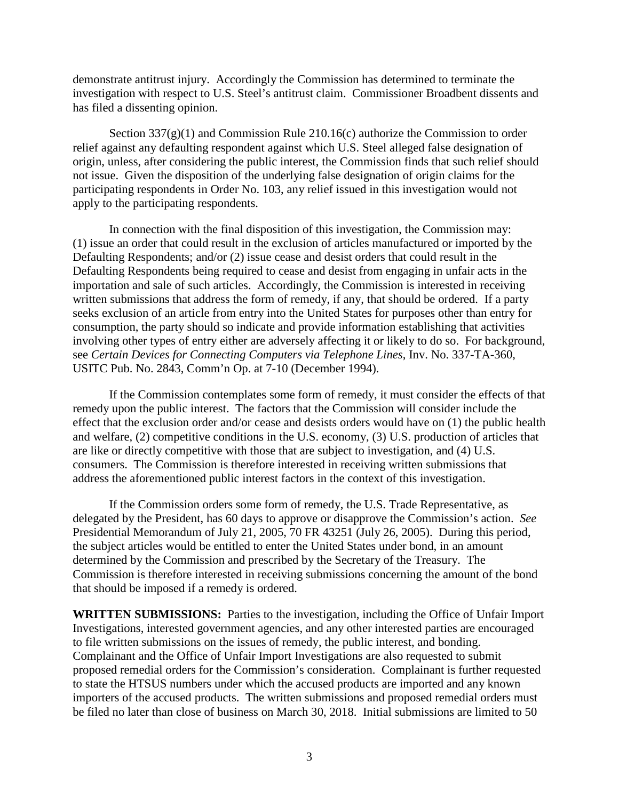demonstrate antitrust injury. Accordingly the Commission has determined to terminate the investigation with respect to U.S. Steel's antitrust claim. Commissioner Broadbent dissents and has filed a dissenting opinion.

Section  $337(g)(1)$  and Commission Rule 210.16(c) authorize the Commission to order relief against any defaulting respondent against which U.S. Steel alleged false designation of origin, unless, after considering the public interest, the Commission finds that such relief should not issue. Given the disposition of the underlying false designation of origin claims for the participating respondents in Order No. 103, any relief issued in this investigation would not apply to the participating respondents.

In connection with the final disposition of this investigation, the Commission may: (1) issue an order that could result in the exclusion of articles manufactured or imported by the Defaulting Respondents; and/or (2) issue cease and desist orders that could result in the Defaulting Respondents being required to cease and desist from engaging in unfair acts in the importation and sale of such articles. Accordingly, the Commission is interested in receiving written submissions that address the form of remedy, if any, that should be ordered. If a party seeks exclusion of an article from entry into the United States for purposes other than entry for consumption, the party should so indicate and provide information establishing that activities involving other types of entry either are adversely affecting it or likely to do so. For background, see *Certain Devices for Connecting Computers via Telephone Lines*, Inv. No. 337-TA-360, USITC Pub. No. 2843, Comm'n Op. at 7-10 (December 1994).

If the Commission contemplates some form of remedy, it must consider the effects of that remedy upon the public interest. The factors that the Commission will consider include the effect that the exclusion order and/or cease and desists orders would have on (1) the public health and welfare, (2) competitive conditions in the U.S. economy, (3) U.S. production of articles that are like or directly competitive with those that are subject to investigation, and (4) U.S. consumers. The Commission is therefore interested in receiving written submissions that address the aforementioned public interest factors in the context of this investigation.

If the Commission orders some form of remedy, the U.S. Trade Representative, as delegated by the President, has 60 days to approve or disapprove the Commission's action. *See*  Presidential Memorandum of July 21, 2005, 70 FR 43251 (July 26, 2005). During this period, the subject articles would be entitled to enter the United States under bond, in an amount determined by the Commission and prescribed by the Secretary of the Treasury. The Commission is therefore interested in receiving submissions concerning the amount of the bond that should be imposed if a remedy is ordered.

**WRITTEN SUBMISSIONS:** Parties to the investigation, including the Office of Unfair Import Investigations, interested government agencies, and any other interested parties are encouraged to file written submissions on the issues of remedy, the public interest, and bonding. Complainant and the Office of Unfair Import Investigations are also requested to submit proposed remedial orders for the Commission's consideration. Complainant is further requested to state the HTSUS numbers under which the accused products are imported and any known importers of the accused products. The written submissions and proposed remedial orders must be filed no later than close of business on March 30, 2018. Initial submissions are limited to 50